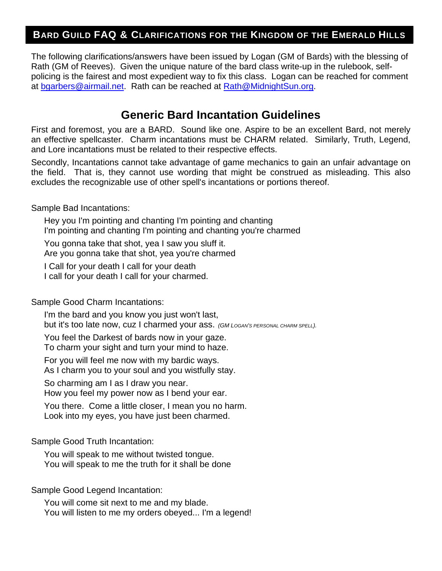## **BARD GUILD FAQ & CLARIFICATIONS FOR THE KINGDOM OF THE EMERALD HILLS**

The following clarifications/answers have been issued by Logan (GM of Bards) with the blessing of Rath (GM of Reeves). Given the unique nature of the bard class write-up in the rulebook, selfpolicing is the fairest and most expedient way to fix this class. Logan can be reached for comment at bgarbers@airmail.net. Rath can be reached at Rath@MidnightSun.org.

## **Generic Bard Incantation Guidelines**

First and foremost, you are a BARD. Sound like one. Aspire to be an excellent Bard, not merely an effective spellcaster. Charm incantations must be CHARM related. Similarly, Truth, Legend, and Lore incantations must be related to their respective effects.

Secondly, Incantations cannot take advantage of game mechanics to gain an unfair advantage on the field. That is, they cannot use wording that might be construed as misleading. This also excludes the recognizable use of other spell's incantations or portions thereof.

Sample Bad Incantations:

Hey you I'm pointing and chanting I'm pointing and chanting I'm pointing and chanting I'm pointing and chanting you're charmed

You gonna take that shot, yea I saw you sluff it. Are you gonna take that shot, yea you're charmed

I Call for your death I call for your death

I call for your death I call for your charmed.

Sample Good Charm Incantations:

I'm the bard and you know you just won't last, but it's too late now, cuz I charmed your ass. *(GM LOGAN'S PERSONAL CHARM SPELL).*

You feel the Darkest of bards now in your gaze.

To charm your sight and turn your mind to haze.

For you will feel me now with my bardic ways.

As I charm you to your soul and you wistfully stay.

So charming am I as I draw you near. How you feel my power now as I bend your ear.

You there. Come a little closer, I mean you no harm. Look into my eyes, you have just been charmed.

Sample Good Truth Incantation:

You will speak to me without twisted tongue. You will speak to me the truth for it shall be done

Sample Good Legend Incantation:

You will come sit next to me and my blade. You will listen to me my orders obeyed... I'm a legend!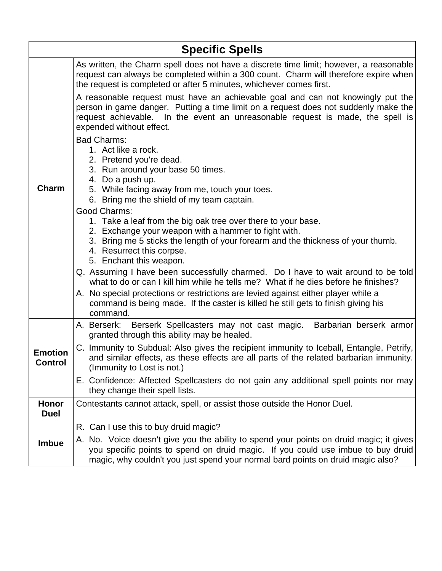| <b>Specific Spells</b>           |                                                                                                                                                                                                                                                                                                                                                                                                                                                                                                                                                                                                                                                                                                                                                                                                                                                                                                                                                                                                                                                                                                                                                                   |  |
|----------------------------------|-------------------------------------------------------------------------------------------------------------------------------------------------------------------------------------------------------------------------------------------------------------------------------------------------------------------------------------------------------------------------------------------------------------------------------------------------------------------------------------------------------------------------------------------------------------------------------------------------------------------------------------------------------------------------------------------------------------------------------------------------------------------------------------------------------------------------------------------------------------------------------------------------------------------------------------------------------------------------------------------------------------------------------------------------------------------------------------------------------------------------------------------------------------------|--|
|                                  | As written, the Charm spell does not have a discrete time limit; however, a reasonable<br>request can always be completed within a 300 count. Charm will therefore expire when<br>the request is completed or after 5 minutes, whichever comes first.                                                                                                                                                                                                                                                                                                                                                                                                                                                                                                                                                                                                                                                                                                                                                                                                                                                                                                             |  |
| Charm                            | A reasonable request must have an achievable goal and can not knowingly put the<br>person in game danger. Putting a time limit on a request does not suddenly make the<br>request achievable. In the event an unreasonable request is made, the spell is<br>expended without effect.<br><b>Bad Charms:</b><br>1. Act like a rock.<br>2. Pretend you're dead.<br>3. Run around your base 50 times.<br>4. Do a push up.<br>5. While facing away from me, touch your toes.<br>6. Bring me the shield of my team captain.<br>Good Charms:<br>1. Take a leaf from the big oak tree over there to your base.<br>2. Exchange your weapon with a hammer to fight with.<br>3. Bring me 5 sticks the length of your forearm and the thickness of your thumb.<br>4. Resurrect this corpse.<br>5. Enchant this weapon.<br>Q. Assuming I have been successfully charmed. Do I have to wait around to be told<br>what to do or can I kill him while he tells me? What if he dies before he finishes?<br>A. No special protections or restrictions are levied against either player while a<br>command is being made. If the caster is killed he still gets to finish giving his |  |
|                                  | command.<br>A. Berserk: Berserk Spellcasters may not cast magic. Barbarian berserk armor<br>granted through this ability may be healed.                                                                                                                                                                                                                                                                                                                                                                                                                                                                                                                                                                                                                                                                                                                                                                                                                                                                                                                                                                                                                           |  |
| <b>Emotion</b><br><b>Control</b> | C. Immunity to Subdual: Also gives the recipient immunity to Iceball, Entangle, Petrify,<br>and similar effects, as these effects are all parts of the related barbarian immunity.<br>(Immunity to Lost is not.)                                                                                                                                                                                                                                                                                                                                                                                                                                                                                                                                                                                                                                                                                                                                                                                                                                                                                                                                                  |  |
|                                  | E. Confidence: Affected Spellcasters do not gain any additional spell points nor may<br>they change their spell lists.                                                                                                                                                                                                                                                                                                                                                                                                                                                                                                                                                                                                                                                                                                                                                                                                                                                                                                                                                                                                                                            |  |
| Honor<br><b>Duel</b>             | Contestants cannot attack, spell, or assist those outside the Honor Duel.                                                                                                                                                                                                                                                                                                                                                                                                                                                                                                                                                                                                                                                                                                                                                                                                                                                                                                                                                                                                                                                                                         |  |
|                                  | R. Can I use this to buy druid magic?                                                                                                                                                                                                                                                                                                                                                                                                                                                                                                                                                                                                                                                                                                                                                                                                                                                                                                                                                                                                                                                                                                                             |  |
| Imbue                            | A. No. Voice doesn't give you the ability to spend your points on druid magic; it gives<br>you specific points to spend on druid magic. If you could use imbue to buy druid<br>magic, why couldn't you just spend your normal bard points on druid magic also?                                                                                                                                                                                                                                                                                                                                                                                                                                                                                                                                                                                                                                                                                                                                                                                                                                                                                                    |  |